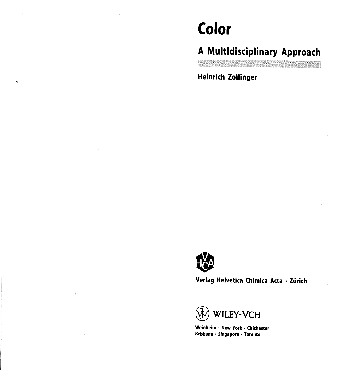## **Color**

## **A Multidisciplinary Approach**

**Heinrich Zollinger** 



**Verlag Helvetica Chimica Acta • Zürich** 



**Weinheim • New York • Chichester Brisbane • Singapore • Toronto**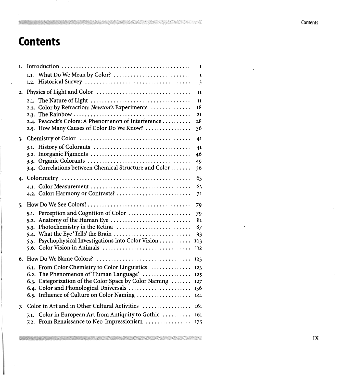$\ddot{\phantom{1}}$ 

## **Contents**

**TABLES IN THE REAL** 

鷚

|                                                                                                      | 1                                                                                                                                                                                                                                                                                                                                                                                                                                                                                                   |
|------------------------------------------------------------------------------------------------------|-----------------------------------------------------------------------------------------------------------------------------------------------------------------------------------------------------------------------------------------------------------------------------------------------------------------------------------------------------------------------------------------------------------------------------------------------------------------------------------------------------|
| What Do We Mean by Color?<br>1.1.                                                                    | $\mathbf{1}$                                                                                                                                                                                                                                                                                                                                                                                                                                                                                        |
|                                                                                                      | 3                                                                                                                                                                                                                                                                                                                                                                                                                                                                                                   |
|                                                                                                      | 11                                                                                                                                                                                                                                                                                                                                                                                                                                                                                                  |
| 2.1.                                                                                                 | $\mathbf{11}$                                                                                                                                                                                                                                                                                                                                                                                                                                                                                       |
|                                                                                                      | 18                                                                                                                                                                                                                                                                                                                                                                                                                                                                                                  |
| 2.3.                                                                                                 | 21                                                                                                                                                                                                                                                                                                                                                                                                                                                                                                  |
| 2.4. Peacock's Colors: A Phenomenon of Interference                                                  | 28                                                                                                                                                                                                                                                                                                                                                                                                                                                                                                  |
| 2.5. How Many Causes of Color Do We Know?                                                            | 36                                                                                                                                                                                                                                                                                                                                                                                                                                                                                                  |
|                                                                                                      | 41                                                                                                                                                                                                                                                                                                                                                                                                                                                                                                  |
| 3.1.                                                                                                 | 41                                                                                                                                                                                                                                                                                                                                                                                                                                                                                                  |
| 3.2.                                                                                                 | 46                                                                                                                                                                                                                                                                                                                                                                                                                                                                                                  |
| 3.3.                                                                                                 | 49                                                                                                                                                                                                                                                                                                                                                                                                                                                                                                  |
|                                                                                                      | 56                                                                                                                                                                                                                                                                                                                                                                                                                                                                                                  |
|                                                                                                      | 63                                                                                                                                                                                                                                                                                                                                                                                                                                                                                                  |
|                                                                                                      | 63                                                                                                                                                                                                                                                                                                                                                                                                                                                                                                  |
|                                                                                                      | 71                                                                                                                                                                                                                                                                                                                                                                                                                                                                                                  |
|                                                                                                      | 79                                                                                                                                                                                                                                                                                                                                                                                                                                                                                                  |
| 5.1. Perception and Cognition of Color                                                               | 79                                                                                                                                                                                                                                                                                                                                                                                                                                                                                                  |
| Anatomy of the Human Eye<br>5.2.                                                                     | 81                                                                                                                                                                                                                                                                                                                                                                                                                                                                                                  |
| 5.3.                                                                                                 | 87                                                                                                                                                                                                                                                                                                                                                                                                                                                                                                  |
| 5.4.                                                                                                 | 93                                                                                                                                                                                                                                                                                                                                                                                                                                                                                                  |
| 5.5.                                                                                                 | 103                                                                                                                                                                                                                                                                                                                                                                                                                                                                                                 |
|                                                                                                      | 112                                                                                                                                                                                                                                                                                                                                                                                                                                                                                                 |
|                                                                                                      | 123                                                                                                                                                                                                                                                                                                                                                                                                                                                                                                 |
|                                                                                                      | 123                                                                                                                                                                                                                                                                                                                                                                                                                                                                                                 |
|                                                                                                      | 125                                                                                                                                                                                                                                                                                                                                                                                                                                                                                                 |
|                                                                                                      | 127                                                                                                                                                                                                                                                                                                                                                                                                                                                                                                 |
|                                                                                                      | 136                                                                                                                                                                                                                                                                                                                                                                                                                                                                                                 |
| 6.5. Influence of Culture on Color Naming                                                            | 141                                                                                                                                                                                                                                                                                                                                                                                                                                                                                                 |
|                                                                                                      |                                                                                                                                                                                                                                                                                                                                                                                                                                                                                                     |
| Color in Art and in Other Cultural Activities                                                        | 161                                                                                                                                                                                                                                                                                                                                                                                                                                                                                                 |
| Color in European Art from Antiquity to Gothic<br>7.1.<br>7.2. From Renaissance to Neo-Impressionism | 161                                                                                                                                                                                                                                                                                                                                                                                                                                                                                                 |
|                                                                                                      | 2.2. Color by Refraction: Newton's Experiments<br>3.4. Correlations between Chemical Structure and Color<br>4.2. Color: Harmony or Contrasts?<br>Photochemistry in the Retina<br>What the Eye 'Tells' the Brain<br>Psychophysical Investigations into Color Vision<br>5.6. Color Vision in Animals<br>6.1. From Color Chemistry to Color Linguistics<br>6.2. The Phenomenon of 'Human Language'<br>6.3. Categorization of the Color Space by Color Naming<br>6.4. Color and Phonological Universals |

<u> Alban a Tanzania (Alban a Tanzania) a Tanzania (Alban a Tanzania (Alban a Tanzania (Alban a Tanzania (Alban a</u>